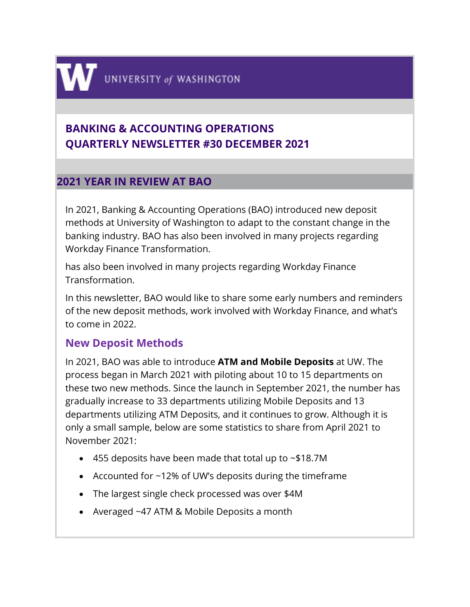# **BANKING & ACCOUNTING OPERATIONS QUARTERLY NEWSLETTER #30 DECEMBER 2021**

## **2021 YEAR IN REVIEW AT BAO**

In 2021, Banking & Accounting Operations (BAO) introduced new deposit methods at University of Washington to adapt to the constant change in the banking industry. BAO has also been involved in many projects regarding Workday Finance Transformation.

has also been involved in many projects regarding Workday Finance **Transformation** 

In this newsletter, BAO would like to share some early numbers and reminders of the new deposit methods, work involved with Workday Finance, and what's to come in 2022.

## **New Deposit Methods**

In 2021, BAO was able to introduce **ATM and Mobile Deposits** at UW. The process began in March 2021 with piloting about 10 to 15 departments on these two new methods. Since the launch in September 2021, the number has gradually increase to 33 departments utilizing Mobile Deposits and 13 departments utilizing ATM Deposits, and it continues to grow. Although it is only a small sample, below are some statistics to share from April 2021 to November 2021:

- 455 deposits have been made that total up to ~\$18.7M
- Accounted for ~12% of UW's deposits during the timeframe
- The largest single check processed was over \$4M
- Averaged ~47 ATM & Mobile Deposits a month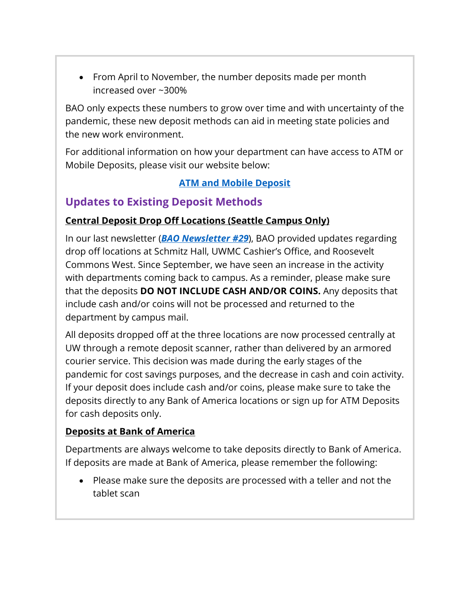• From April to November, the number deposits made per month increased over ~300%

BAO only expects these numbers to grow over time and with uncertainty of the pandemic, these new deposit methods can aid in meeting state policies and the new work environment.

For additional information on how your department can have access to ATM or Mobile Deposits, please visit our website below:

#### **[ATM and Mobile Deposit](https://finance.uw.edu/bao/cash-receivables/cashcheck-deposits/atm-and-mobile-deposit)**

## **Updates to Existing Deposit Methods**

## **Central Deposit Drop Off Locations (Seattle Campus Only)**

In our last newsletter (*[BAO Newsletter #29](https://finance.uw.edu/bao/sites/default/files/BAO%20Newsletter%20%2329%20dated%208.27.2021.pdf)*), BAO provided updates regarding drop off locations at Schmitz Hall, UWMC Cashier's Office, and Roosevelt Commons West. Since September, we have seen an increase in the activity with departments coming back to campus. As a reminder, please make sure that the deposits **DO NOT INCLUDE CASH AND/OR COINS.** Any deposits that include cash and/or coins will not be processed and returned to the department by campus mail.

All deposits dropped off at the three locations are now processed centrally at UW through a remote deposit scanner, rather than delivered by an armored courier service. This decision was made during the early stages of the pandemic for cost savings purposes, and the decrease in cash and coin activity. If your deposit does include cash and/or coins, please make sure to take the deposits directly to any Bank of America locations or sign up for ATM Deposits for cash deposits only.

## **Deposits at Bank of America**

Departments are always welcome to take deposits directly to Bank of America. If deposits are made at Bank of America, please remember the following:

• Please make sure the deposits are processed with a teller and not the tablet scan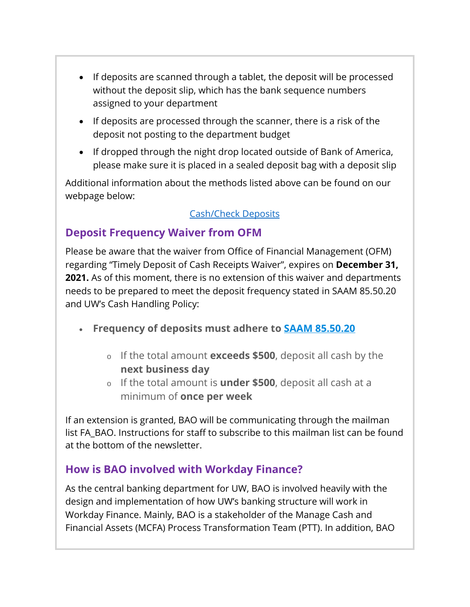- If deposits are scanned through a tablet, the deposit will be processed without the deposit slip, which has the bank sequence numbers assigned to your department
- If deposits are processed through the scanner, there is a risk of the deposit not posting to the department budget
- If dropped through the night drop located outside of Bank of America, please make sure it is placed in a sealed deposit bag with a deposit slip

Additional information about the methods listed above can be found on our webpage below:

#### [Cash/Check Deposits](https://finance.uw.edu/bao/cash-receivables/checkcash-deposits)

## **Deposit Frequency Waiver from OFM**

Please be aware that the waiver from Office of Financial Management (OFM) regarding "Timely Deposit of Cash Receipts Waiver", expires on **December 31, 2021.** As of this moment, there is no extension of this waiver and departments needs to be prepared to meet the deposit frequency stated in SAAM 85.50.20 and UW's Cash Handling Policy:

- **Frequency of deposits must adhere to [SAAM 85.50.20](https://www.ofm.wa.gov/sites/default/files/public/legacy/policy/85.50.htm)**
	- <sup>o</sup> If the total amount **exceeds \$500**, deposit all cash by the **next business day**
	- <sup>o</sup> If the total amount is **under \$500**, deposit all cash at a minimum of **once per week**

If an extension is granted, BAO will be communicating through the mailman list FA\_BAO. Instructions for staff to subscribe to this mailman list can be found at the bottom of the newsletter.

## **How is BAO involved with Workday Finance?**

As the central banking department for UW, BAO is involved heavily with the design and implementation of how UW's banking structure will work in Workday Finance. Mainly, BAO is a stakeholder of the Manage Cash and Financial Assets (MCFA) Process Transformation Team (PTT). In addition, BAO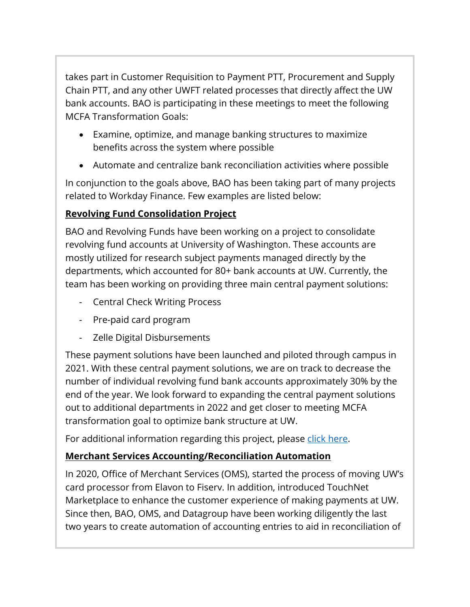takes part in Customer Requisition to Payment PTT, Procurement and Supply Chain PTT, and any other UWFT related processes that directly affect the UW bank accounts. BAO is participating in these meetings to meet the following MCFA Transformation Goals:

- Examine, optimize, and manage banking structures to maximize benefits across the system where possible
- Automate and centralize bank reconciliation activities where possible

In conjunction to the goals above, BAO has been taking part of many projects related to Workday Finance. Few examples are listed below:

## **Revolving Fund Consolidation Project**

BAO and Revolving Funds have been working on a project to consolidate revolving fund accounts at University of Washington. These accounts are mostly utilized for research subject payments managed directly by the departments, which accounted for 80+ bank accounts at UW. Currently, the team has been working on providing three main central payment solutions:

- Central Check Writing Process
- Pre-paid card program
- Zelle Digital Disbursements

These payment solutions have been launched and piloted through campus in 2021. With these central payment solutions, we are on track to decrease the number of individual revolving fund bank accounts approximately 30% by the end of the year. We look forward to expanding the central payment solutions out to additional departments in 2022 and get closer to meeting MCFA transformation goal to optimize bank structure at UW.

For additional information regarding this project, please [click here.](https://finance.uw.edu/ps/how-pay/revolving-funds/consolidation)

## **Merchant Services Accounting/Reconciliation Automation**

In 2020, Office of Merchant Services (OMS), started the process of moving UW's card processor from Elavon to Fiserv. In addition, introduced TouchNet Marketplace to enhance the customer experience of making payments at UW. Since then, BAO, OMS, and Datagroup have been working diligently the last two years to create automation of accounting entries to aid in reconciliation of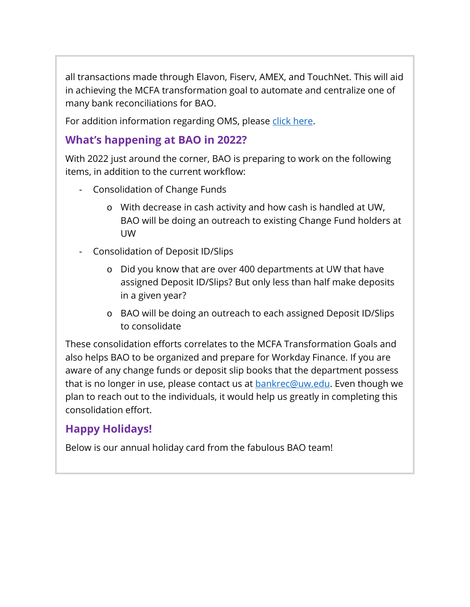all transactions made through Elavon, Fiserv, AMEX, and TouchNet. This will aid in achieving the MCFA transformation goal to automate and centralize one of many bank reconciliations for BAO.

For addition information regarding OMS, please [click here.](https://finance.uw.edu/merchant-services/)

## **What's happening at BAO in 2022?**

With 2022 just around the corner, BAO is preparing to work on the following items, in addition to the current workflow:

- Consolidation of Change Funds
	- o With decrease in cash activity and how cash is handled at UW, BAO will be doing an outreach to existing Change Fund holders at UW
- Consolidation of Deposit ID/Slips
	- o Did you know that are over 400 departments at UW that have assigned Deposit ID/Slips? But only less than half make deposits in a given year?
	- o BAO will be doing an outreach to each assigned Deposit ID/Slips to consolidate

These consolidation efforts correlates to the MCFA Transformation Goals and also helps BAO to be organized and prepare for Workday Finance. If you are aware of any change funds or deposit slip books that the department possess that is no longer in use, please contact us at [bankrec@uw.edu.](mailto:bankrec@uw.edu) Even though we plan to reach out to the individuals, it would help us greatly in completing this consolidation effort.

## **Happy Holidays!**

Below is our annual holiday card from the fabulous BAO team!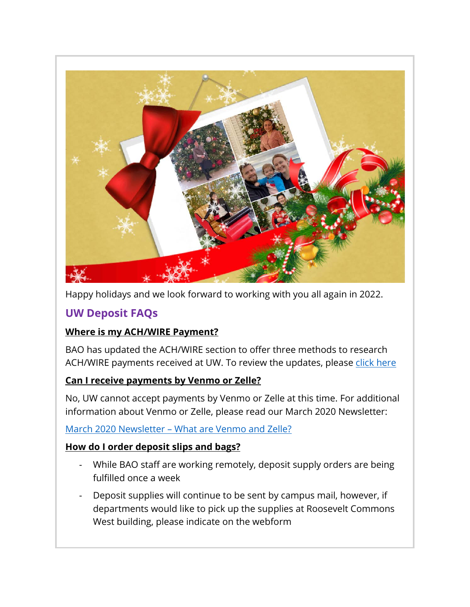

Happy holidays and we look forward to working with you all again in 2022.

## **UW Deposit FAQs**

#### **Where is my ACH/WIRE Payment?**

BAO has updated the ACH/WIRE section to offer three methods to research ACH/WIRE payments received at UW. To review the updates, please [click here](https://finance.uw.edu/bao/wires)

#### **Can I receive payments by Venmo or Zelle?**

No, UW cannot accept payments by Venmo or Zelle at this time. For additional information about Venmo or Zelle, please read our March 2020 Newsletter:

#### March 2020 Newsletter – [What are Venmo and Zelle?](https://finance.uw.edu/bao/sites/default/files/Banking%20%26%20Accounting%20Operations%20Newsletter%20%2319.pdf)

#### **How do I order deposit slips and bags?**

- While BAO staff are working remotely, deposit supply orders are being fulfilled once a week
- Deposit supplies will continue to be sent by campus mail, however, if departments would like to pick up the supplies at Roosevelt Commons West building, please indicate on the webform